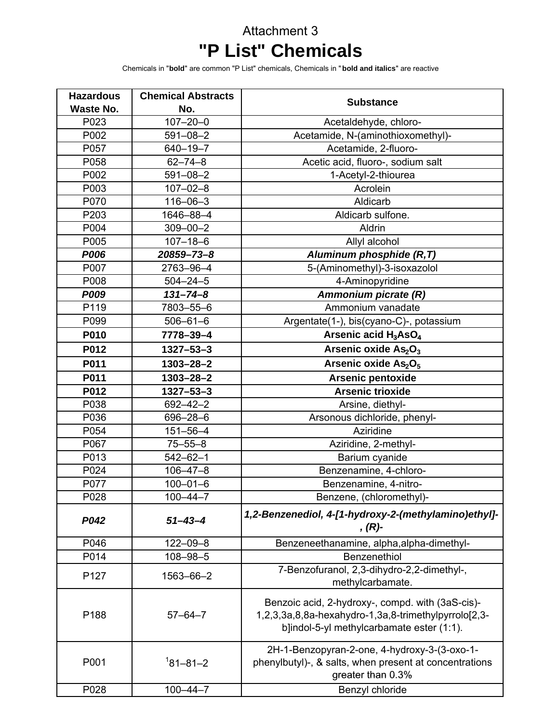## Attachment 3 **"P List" Chemicals**

Chemicals in "**bold**" are common "P List" chemicals, Chemicals in "**bold and italics**" are reactive

| <b>Hazardous</b> | <b>Chemical Abstracts</b> |                                                                                                                                                       |
|------------------|---------------------------|-------------------------------------------------------------------------------------------------------------------------------------------------------|
| <b>Waste No.</b> | No.                       | <b>Substance</b>                                                                                                                                      |
| P023             | $107 - 20 - 0$            | Acetaldehyde, chloro-                                                                                                                                 |
| P002             | $591 - 08 - 2$            | Acetamide, N-(aminothioxomethyl)-                                                                                                                     |
| P057             | $640 - 19 - 7$            | Acetamide, 2-fluoro-                                                                                                                                  |
| P058             | $62 - 74 - 8$             | Acetic acid, fluoro-, sodium salt                                                                                                                     |
| P002             | $591 - 08 - 2$            | 1-Acetyl-2-thiourea                                                                                                                                   |
| P003             | $107 - 02 - 8$            | Acrolein                                                                                                                                              |
| P070             | $116 - 06 - 3$            | Aldicarb                                                                                                                                              |
| P203             | 1646-88-4                 | Aldicarb sulfone.                                                                                                                                     |
| P004             | $309 - 00 - 2$            | Aldrin                                                                                                                                                |
| P005             | $107 - 18 - 6$            | Allyl alcohol                                                                                                                                         |
| <b>P006</b>      | 20859-73-8                | Aluminum phosphide (R,T)                                                                                                                              |
| P007             | 2763-96-4                 | 5-(Aminomethyl)-3-isoxazolol                                                                                                                          |
| P008             | $504 - 24 - 5$            | 4-Aminopyridine                                                                                                                                       |
| <b>P009</b>      | $131 - 74 - 8$            | Ammonium picrate (R)                                                                                                                                  |
| P119             | 7803-55-6                 | Ammonium vanadate                                                                                                                                     |
| P099             | $506 - 61 - 6$            | Argentate(1-), bis(cyano-C)-, potassium                                                                                                               |
| P010             | 7778-39-4                 | Arsenic acid H <sub>3</sub> AsO <sub>4</sub>                                                                                                          |
| P012             | $1327 - 53 - 3$           | Arsenic oxide As <sub>2</sub> O <sub>3</sub>                                                                                                          |
| P011             | $1303 - 28 - 2$           | Arsenic oxide $As2O5$                                                                                                                                 |
| P011             | $1303 - 28 - 2$           | <b>Arsenic pentoxide</b>                                                                                                                              |
| P012             | $1327 - 53 - 3$           | <b>Arsenic trioxide</b>                                                                                                                               |
| P038             | $692 - 42 - 2$            | Arsine, diethyl-                                                                                                                                      |
| P036             | 696-28-6                  | Arsonous dichloride, phenyl-                                                                                                                          |
| P054             | $151 - 56 - 4$            | Aziridine                                                                                                                                             |
| P067             | $75 - 55 - 8$             | Aziridine, 2-methyl-                                                                                                                                  |
| P013             | $542 - 62 - 1$            | Barium cyanide                                                                                                                                        |
| P024             | $106 - 47 - 8$            | Benzenamine, 4-chloro-                                                                                                                                |
| P077             | $100 - 01 - 6$            | Benzenamine, 4-nitro-                                                                                                                                 |
| P028             | $100 - 44 - 7$            | Benzene, (chloromethyl)-                                                                                                                              |
| P042             | $51 - 43 - 4$             | 1,2-Benzenediol, 4-[1-hydroxy-2-(methylamino)ethyl]-<br>$, (R)$ -                                                                                     |
| P046             | $122 - 09 - 8$            | Benzeneethanamine, alpha, alpha-dimethyl-                                                                                                             |
| P014             | $108 - 98 - 5$            | Benzenethiol                                                                                                                                          |
| P127             | 1563-66-2                 | 7-Benzofuranol, 2,3-dihydro-2,2-dimethyl-,<br>methylcarbamate.                                                                                        |
| P188             | $57 - 64 - 7$             | Benzoic acid, 2-hydroxy-, compd. with (3aS-cis)-<br>1,2,3,3a,8,8a-hexahydro-1,3a,8-trimethylpyrrolo[2,3-<br>b]indol-5-yl methylcarbamate ester (1:1). |
| P001             | $181 - 81 - 2$            | 2H-1-Benzopyran-2-one, 4-hydroxy-3-(3-oxo-1-<br>phenylbutyl)-, & salts, when present at concentrations<br>greater than 0.3%                           |
| P028             | $100 - 44 - 7$            | Benzyl chloride                                                                                                                                       |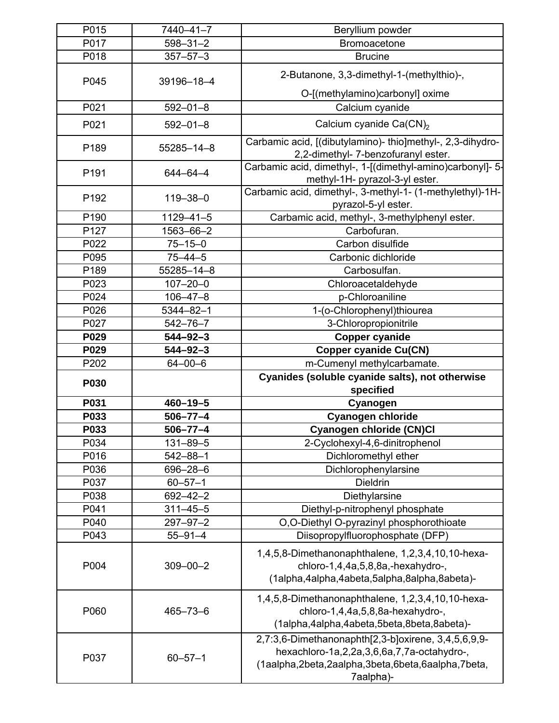| P015        | 7440-41-7       | Beryllium powder                                                                                                                                                    |
|-------------|-----------------|---------------------------------------------------------------------------------------------------------------------------------------------------------------------|
| P017        | $598 - 31 - 2$  | Bromoacetone                                                                                                                                                        |
| P018        | $357 - 57 - 3$  | <b>Brucine</b>                                                                                                                                                      |
| P045        | 39196-18-4      | 2-Butanone, 3,3-dimethyl-1-(methylthio)-,                                                                                                                           |
|             |                 | O-[(methylamino)carbonyl] oxime                                                                                                                                     |
| P021        | $592 - 01 - 8$  | Calcium cyanide                                                                                                                                                     |
| P021        | $592 - 01 - 8$  | Calcium cyanide Ca(CN) <sub>2</sub>                                                                                                                                 |
| P189        | 55285-14-8      | Carbamic acid, [(dibutylamino)- thio]methyl-, 2,3-dihydro-<br>2,2-dimethyl-7-benzofuranyl ester.                                                                    |
| P191        | $644 - 64 - 4$  | Carbamic acid, dimethyl-, 1-[(dimethyl-amino)carbonyl]- 5-<br>methyl-1H- pyrazol-3-yl ester.                                                                        |
| P192        | $119 - 38 - 0$  | Carbamic acid, dimethyl-, 3-methyl-1- (1-methylethyl)-1H-<br>pyrazol-5-yl ester.                                                                                    |
| P190        | $1129 - 41 - 5$ | Carbamic acid, methyl-, 3-methylphenyl ester.                                                                                                                       |
| P127        | 1563-66-2       | Carbofuran.                                                                                                                                                         |
| P022        | $75 - 15 - 0$   | Carbon disulfide                                                                                                                                                    |
| P095        | $75 - 44 - 5$   | Carbonic dichloride                                                                                                                                                 |
| P189        | 55285-14-8      | Carbosulfan.                                                                                                                                                        |
| P023        | $107 - 20 - 0$  | Chloroacetaldehyde                                                                                                                                                  |
| P024        | $106 - 47 - 8$  | p-Chloroaniline                                                                                                                                                     |
| P026        | $5344 - 82 - 1$ | 1-(o-Chlorophenyl)thiourea                                                                                                                                          |
| P027        | $542 - 76 - 7$  | 3-Chloropropionitrile                                                                                                                                               |
| P029        | $544 - 92 - 3$  | <b>Copper cyanide</b>                                                                                                                                               |
| P029        | $544 - 92 - 3$  | <b>Copper cyanide Cu(CN)</b>                                                                                                                                        |
| P202        | $64 - 00 - 6$   | m-Cumenyl methylcarbamate.                                                                                                                                          |
| <b>P030</b> |                 | Cyanides (soluble cyanide salts), not otherwise<br>specified                                                                                                        |
| P031        | $460 - 19 - 5$  | Cyanogen                                                                                                                                                            |
| P033        | $506 - 77 - 4$  | <b>Cyanogen chloride</b>                                                                                                                                            |
| P033        | $506 - 77 - 4$  | Cyanogen chloride (CN)CI                                                                                                                                            |
| P034        | $131 - 89 - 5$  | 2-Cyclohexyl-4,6-dinitrophenol                                                                                                                                      |
| P016        | $542 - 88 - 1$  | Dichloromethyl ether                                                                                                                                                |
| P036        | $696 - 28 - 6$  | Dichlorophenylarsine                                                                                                                                                |
| P037        | $60 - 57 - 1$   | <b>Dieldrin</b>                                                                                                                                                     |
| P038        | $692 - 42 - 2$  | Diethylarsine                                                                                                                                                       |
| P041        | $311 - 45 - 5$  | Diethyl-p-nitrophenyl phosphate                                                                                                                                     |
| P040        | $297 - 97 - 2$  | O,O-Diethyl O-pyrazinyl phosphorothioate                                                                                                                            |
| P043        | $55 - 91 - 4$   | Diisopropylfluorophosphate (DFP)                                                                                                                                    |
| P004        | $309 - 00 - 2$  | 1,4,5,8-Dimethanonaphthalene, 1,2,3,4,10,10-hexa-<br>chloro-1,4,4a,5,8,8a,-hexahydro-,<br>(1alpha,4alpha,4abeta,5alpha,8alpha,8abeta)-                              |
| P060        | $465 - 73 - 6$  | 1,4,5,8-Dimethanonaphthalene, 1,2,3,4,10,10-hexa-<br>chloro-1,4,4a,5,8,8a-hexahydro-,<br>(1alpha,4alpha,4abeta,5beta,8beta,8abeta)-                                 |
| P037        | $60 - 57 - 1$   | 2,7:3,6-Dimethanonaphth[2,3-b]oxirene, 3,4,5,6,9,9-<br>hexachloro-1a,2,2a,3,6,6a,7,7a-octahydro-,<br>(1aalpha,2beta,2aalpha,3beta,6beta,6aalpha,7beta,<br>7aalpha)- |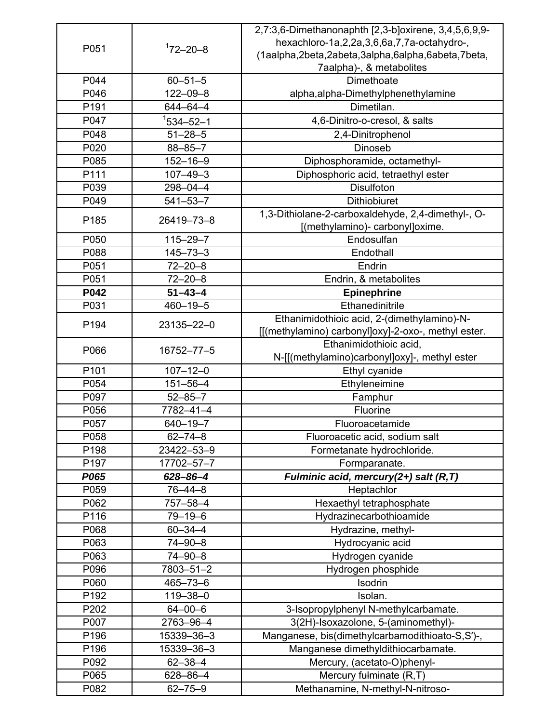|                  |                | 2,7:3,6-Dimethanonaphth [2,3-b]oxirene, 3,4,5,6,9,9-                                  |
|------------------|----------------|---------------------------------------------------------------------------------------|
| P051             | $172 - 20 - 8$ | hexachloro-1a,2,2a,3,6,6a,7,7a-octahydro-,                                            |
|                  |                | (1aalpha,2beta,2abeta,3alpha,6alpha,6abeta,7beta,                                     |
|                  |                | 7aalpha)-, & metabolites                                                              |
| P044             | $60 - 51 - 5$  | Dimethoate                                                                            |
| P046             | $122 - 09 - 8$ | alpha, alpha-Dimethylphenethylamine                                                   |
| P <sub>191</sub> | 644-64-4       | Dimetilan.                                                                            |
| P047             | $1$ 534-52-1   | 4,6-Dinitro-o-cresol, & salts                                                         |
| P048             | $51 - 28 - 5$  | 2,4-Dinitrophenol                                                                     |
| P020             | $88 - 85 - 7$  | Dinoseb                                                                               |
| P085             | $152 - 16 - 9$ | Diphosphoramide, octamethyl-                                                          |
| P111             | $107 - 49 - 3$ | Diphosphoric acid, tetraethyl ester                                                   |
| P039             | 298-04-4       | Disulfoton                                                                            |
| P049             | $541 - 53 - 7$ | <b>Dithiobiuret</b>                                                                   |
| P185             | 26419-73-8     | 1,3-Dithiolane-2-carboxaldehyde, 2,4-dimethyl-, O-<br>[(methylamino)- carbonyl]oxime. |
| P050             | $115 - 29 - 7$ | Endosulfan                                                                            |
| P088             | $145 - 73 - 3$ | Endothall                                                                             |
| P051             | $72 - 20 - 8$  | Endrin                                                                                |
| P051             | $72 - 20 - 8$  | Endrin, & metabolites                                                                 |
| P042             | $51 - 43 - 4$  | <b>Epinephrine</b>                                                                    |
| P031             | $460 - 19 - 5$ | Ethanedinitrile                                                                       |
|                  |                | Ethanimidothioic acid, 2-(dimethylamino)-N-                                           |
| P194             | 23135-22-0     | [[(methylamino) carbonyl]oxy]-2-oxo-, methyl ester.                                   |
|                  |                | Ethanimidothioic acid,                                                                |
| P066             | 16752-77-5     | N-[[(methylamino)carbonyl]oxy]-, methyl ester                                         |
| P101             | $107 - 12 - 0$ | Ethyl cyanide                                                                         |
| P054             | $151 - 56 - 4$ | Ethyleneimine                                                                         |
| P097             | $52 - 85 - 7$  | Famphur                                                                               |
| P056             | 7782-41-4      | Fluorine                                                                              |
| P057             | $640 - 19 - 7$ | Fluoroacetamide                                                                       |
| P058             | $62 - 74 - 8$  | Fluoroacetic acid, sodium salt                                                        |
| P198             | 23422-53-9     | Formetanate hydrochloride.                                                            |
| P <sub>197</sub> | 17702-57-7     | Formparanate.                                                                         |
| P065             | $628 - 86 - 4$ | Fulminic acid, mercury(2+) salt (R,T)                                                 |
| P059             | $76 - 44 - 8$  | Heptachlor                                                                            |
| P062             | 757-58-4       | Hexaethyl tetraphosphate                                                              |
| P116             | $79 - 19 - 6$  | Hydrazinecarbothioamide                                                               |
| P068             | $60 - 34 - 4$  | Hydrazine, methyl-                                                                    |
| P063             | $74 - 90 - 8$  | Hydrocyanic acid                                                                      |
| P063             | 74-90-8        | Hydrogen cyanide                                                                      |
| P096             | 7803-51-2      | Hydrogen phosphide                                                                    |
| P060             | $465 - 73 - 6$ | Isodrin                                                                               |
| P192             | $119 - 38 - 0$ | Isolan.                                                                               |
| P202             | $64 - 00 - 6$  | 3-Isopropylphenyl N-methylcarbamate.                                                  |
| P007             | 2763-96-4      | 3(2H)-Isoxazolone, 5-(aminomethyl)-                                                   |
| P196             | 15339-36-3     | Manganese, bis(dimethylcarbamodithioato-S,S')-,                                       |
| P <sub>196</sub> | 15339-36-3     | Manganese dimethyldithiocarbamate.                                                    |
| P092             | $62 - 38 - 4$  | Mercury, (acetato-O)phenyl-                                                           |
| P065             | 628-86-4       | Mercury fulminate (R,T)                                                               |
| P082             | $62 - 75 - 9$  | Methanamine, N-methyl-N-nitroso-                                                      |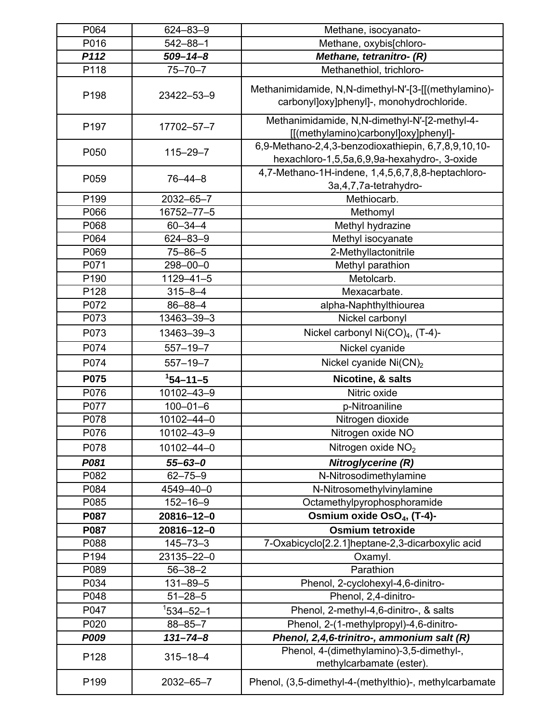| P064             | $624 - 83 - 9$  | Methane, isocyanato-                                                                                |
|------------------|-----------------|-----------------------------------------------------------------------------------------------------|
| P016             | $542 - 88 - 1$  | Methane, oxybis[chloro-                                                                             |
| P112             | $509 - 14 - 8$  | Methane, tetranitro- (R)                                                                            |
| P118             | $75 - 70 - 7$   | Methanethiol, trichloro-                                                                            |
| P198             | 23422-53-9      | Methanimidamide, N,N-dimethyl-N'-[3-[[(methylamino)-<br>carbonyl]oxy]phenyl]-, monohydrochloride.   |
| P197             | 17702-57-7      | Methanimidamide, N,N-dimethyl-N'-[2-methyl-4-<br>[[(methylamino)carbonyl]oxy]phenyl]-               |
| P050             | $115 - 29 - 7$  | 6,9-Methano-2,4,3-benzodioxathiepin, 6,7,8,9,10,10-<br>hexachloro-1,5,5a,6,9,9a-hexahydro-, 3-oxide |
| P059             | $76 - 44 - 8$   | 4,7-Methano-1H-indene, 1,4,5,6,7,8,8-heptachloro-<br>3a, 4, 7, 7a-tetrahydro-                       |
| P199             | 2032-65-7       | Methiocarb.                                                                                         |
| P066             | 16752-77-5      | Methomyl                                                                                            |
| P068             | $60 - 34 - 4$   | Methyl hydrazine                                                                                    |
| P064             | 624-83-9        | Methyl isocyanate                                                                                   |
| P069             | $75 - 86 - 5$   | 2-Methyllactonitrile                                                                                |
| P071             | $298 - 00 - 0$  | Methyl parathion                                                                                    |
| P190             | $1129 - 41 - 5$ | Metolcarb.                                                                                          |
| P128             | $315 - 8 - 4$   | Mexacarbate.                                                                                        |
| P072             | $86 - 88 - 4$   | alpha-Naphthylthiourea                                                                              |
| P073             | 13463-39-3      | Nickel carbonyl                                                                                     |
| P073             | 13463-39-3      | Nickel carbonyl $Ni(CO)4$ , (T-4)-                                                                  |
| P074             | $557 - 19 - 7$  | Nickel cyanide                                                                                      |
| P074             | $557 - 19 - 7$  | Nickel cyanide Ni(CN) <sub>2</sub>                                                                  |
| P075             | $154 - 11 - 5$  | Nicotine, & salts                                                                                   |
| P076             | 10102-43-9      | Nitric oxide                                                                                        |
| P077             | $100 - 01 - 6$  | p-Nitroaniline                                                                                      |
| P078             | 10102-44-0      | Nitrogen dioxide                                                                                    |
| P076             | 10102-43-9      | Nitrogen oxide NO                                                                                   |
| P078             | 10102-44-0      | Nitrogen oxide NO <sub>2</sub>                                                                      |
| P081             | $55 - 63 - 0$   | Nitroglycerine (R)                                                                                  |
| P082             | $62 - 75 - 9$   | N-Nitrosodimethylamine                                                                              |
| P084             | 4549-40-0       | N-Nitrosomethylvinylamine                                                                           |
| P085             | $152 - 16 - 9$  | Octamethylpyrophosphoramide                                                                         |
| P087             | 20816-12-0      | Osmium oxide OsO <sub>4</sub> , (T-4)-                                                              |
| P087             | 20816-12-0      | <b>Osmium tetroxide</b>                                                                             |
| P088             | $145 - 73 - 3$  | 7-Oxabicyclo[2.2.1]heptane-2,3-dicarboxylic acid                                                    |
| P194             | 23135-22-0      | Oxamyl.                                                                                             |
| P089             | $56 - 38 - 2$   | Parathion                                                                                           |
| P034             | $131 - 89 - 5$  | Phenol, 2-cyclohexyl-4,6-dinitro-                                                                   |
| P048             | $51 - 28 - 5$   | Phenol, 2,4-dinitro-                                                                                |
| P047             | $1534 - 52 - 1$ | Phenol, 2-methyl-4,6-dinitro-, & salts                                                              |
| P020             | $88 - 85 - 7$   | Phenol, 2-(1-methylpropyl)-4,6-dinitro-                                                             |
| <b>P009</b>      | $131 - 74 - 8$  | Phenol, 2,4,6-trinitro-, ammonium salt (R)                                                          |
| P128             | $315 - 18 - 4$  | Phenol, 4-(dimethylamino)-3,5-dimethyl-,<br>methylcarbamate (ester).                                |
| P <sub>199</sub> | 2032-65-7       | Phenol, (3,5-dimethyl-4-(methylthio)-, methylcarbamate                                              |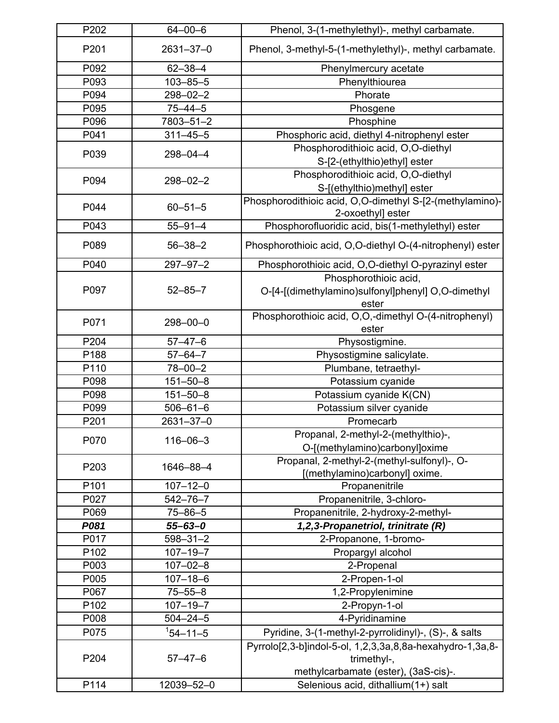| P202 | $64 - 00 - 6$   | Phenol, 3-(1-methylethyl)-, methyl carbamate.                         |
|------|-----------------|-----------------------------------------------------------------------|
| P201 | $2631 - 37 - 0$ | Phenol, 3-methyl-5-(1-methylethyl)-, methyl carbamate.                |
| P092 | $62 - 38 - 4$   | Phenylmercury acetate                                                 |
| P093 | $103 - 85 - 5$  | Phenylthiourea                                                        |
| P094 | $298 - 02 - 2$  | Phorate                                                               |
| P095 | $75 - 44 - 5$   | Phosgene                                                              |
| P096 | 7803-51-2       | Phosphine                                                             |
| P041 | $311 - 45 - 5$  | Phosphoric acid, diethyl 4-nitrophenyl ester                          |
| P039 | 298-04-4        | Phosphorodithioic acid, O,O-diethyl                                   |
|      |                 | S-[2-(ethylthio)ethyl] ester                                          |
|      | $298 - 02 - 2$  | Phosphorodithioic acid, O,O-diethyl                                   |
| P094 |                 | S-[(ethylthio)methyl] ester                                           |
|      |                 | Phosphorodithioic acid, O,O-dimethyl S-[2-(methylamino)-              |
| P044 | $60 - 51 - 5$   | 2-oxoethyl] ester                                                     |
| P043 | $55 - 91 - 4$   | Phosphorofluoridic acid, bis(1-methylethyl) ester                     |
| P089 | $56 - 38 - 2$   | Phosphorothioic acid, O,O-diethyl O-(4-nitrophenyl) ester             |
| P040 | $297 - 97 - 2$  | Phosphorothioic acid, O,O-diethyl O-pyrazinyl ester                   |
|      |                 | Phosphorothioic acid,                                                 |
| P097 | $52 - 85 - 7$   | O-[4-[(dimethylamino)sulfonyl]phenyl] O,O-dimethyl                    |
|      |                 | ester                                                                 |
| P071 | $298 - 00 - 0$  | Phosphorothioic acid, O,O,-dimethyl O-(4-nitrophenyl)                 |
|      |                 | ester                                                                 |
| P204 | $57 - 47 - 6$   | Physostigmine.                                                        |
| P188 | $57 - 64 - 7$   | Physostigmine salicylate.                                             |
| P110 | $78 - 00 - 2$   | Plumbane, tetraethyl-                                                 |
| P098 | $151 - 50 - 8$  | Potassium cyanide                                                     |
| P098 | $151 - 50 - 8$  | Potassium cyanide K(CN)                                               |
| P099 | $506 - 61 - 6$  | Potassium silver cyanide                                              |
| P201 | 2631-37-0       | Promecarb                                                             |
| P070 | $116 - 06 - 3$  | Propanal, 2-methyl-2-(methylthio)-,<br>O-[(methylamino)carbonyl]oxime |
|      |                 | Propanal, 2-methyl-2-(methyl-sulfonyl)-, O-                           |
| P203 | 1646-88-4       | [(methylamino)carbonyl] oxime.                                        |
| P101 | $107 - 12 - 0$  | Propanenitrile                                                        |
| P027 | $542 - 76 - 7$  | Propanenitrile, 3-chloro-                                             |
| P069 | $75 - 86 - 5$   | Propanenitrile, 2-hydroxy-2-methyl-                                   |
| P081 | $55 - 63 - 0$   | 1,2,3-Propanetriol, trinitrate (R)                                    |
| P017 | $598 - 31 - 2$  | 2-Propanone, 1-bromo-                                                 |
| P102 | $107 - 19 - 7$  | Propargyl alcohol                                                     |
| P003 | $107 - 02 - 8$  | 2-Propenal                                                            |
| P005 | $107 - 18 - 6$  | 2-Propen-1-ol                                                         |
| P067 | $75 - 55 - 8$   | 1,2-Propylenimine                                                     |
| P102 | $107 - 19 - 7$  | 2-Propyn-1-ol                                                         |
| P008 | $504 - 24 - 5$  |                                                                       |
|      |                 | 4-Pyridinamine                                                        |
| P075 | $154 - 11 - 5$  | Pyridine, 3-(1-methyl-2-pyrrolidinyl)-, (S)-, & salts                 |
|      |                 | Pyrrolo[2,3-b]indol-5-ol, 1,2,3,3a,8,8a-hexahydro-1,3a,8-             |
| P204 | $57 - 47 - 6$   | trimethyl-,                                                           |
|      |                 | methylcarbamate (ester), (3aS-cis)-.                                  |
| P114 | 12039-52-0      | Selenious acid, dithallium(1+) salt                                   |